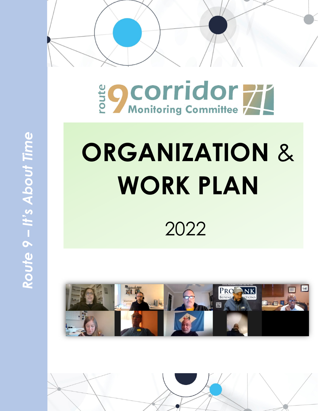

# Be Corridor

# **ORGANIZATION** & **WORK PLAN**

2022



Route 9 - It's About Time *Route 9 – It's About Time*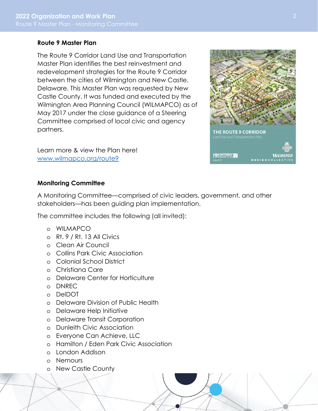# **Route 9 Master Plan**

The Route 9 Corridor Land Use and Transportation Master Plan identifies the best reinvestment and redevelopment strategies for the Route 9 Corridor between the cities of Wilmington and New Castle, Delaware. This Master Plan was requested by New Castle County. It was funded and executed by the Wilmington Area Planning Council (WILMAPCO) as of May 2017 under the close guidance of a Steering Committee comprised of local civic and agency partners.

Learn more & view the Plan here! www.wilmapco.org/route9

#### **Monitoring Committee**

A Monitoring Committee—comprised of civic leaders, government, and other stakeholders—has been guiding plan implementation.

The committee includes the following (all invited):

- o WILMAPCO
- o Rt. 9 / Rt. 13 All Civics
- o Clean Air Council
- o Collins Park Civic Association
- o Colonial School District
- o Christiana Care
- o Delaware Center for Horticulture
- o DNREC
- o DelDOT
- o Delaware Division of Public Health
- o Delaware Help Initiative
- o Delaware Transit Corporation
- o Dunleith Civic Association
- o Everyone Can Achieve, LLC
- o Hamilton / Eden Park Civic Association
- o London Addison
- o Nemours
- o New Castle County

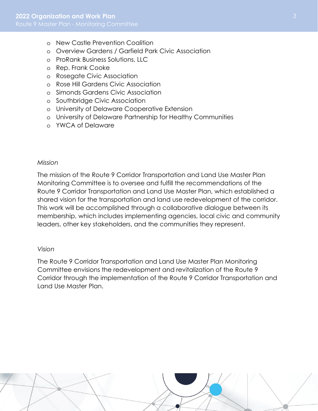- o New Castle Prevention Coalition
- o Overview Gardens / Garfield Park Civic Association
- o ProRank Business Solutions, LLC
- o Rep. Frank Cooke
- o Rosegate Civic Association
- o Rose Hill Gardens Civic Association
- o Simonds Gardens Civic Association
- o Southbridge Civic Association
- o University of Delaware Cooperative Extension
- o University of Delaware Partnership for Healthy Communities
- o YWCA of Delaware

#### *Mission*

The mission of the Route 9 Corridor Transportation and Land Use Master Plan Monitoring Committee is to oversee and fulfill the recommendations of the Route 9 Corridor Transportation and Land Use Master Plan, which established a shared vision for the transportation and land use redevelopment of the corridor. This work will be accomplished through a collaborative dialogue between its membership, which includes implementing agencies, local civic and community leaders, other key stakeholders, and the communities they represent.

#### *Vision*

The Route 9 Corridor Transportation and Land Use Master Plan Monitoring Committee envisions the redevelopment and revitalization of the Route 9 Corridor through the implementation of the Route 9 Corridor Transportation and Land Use Master Plan.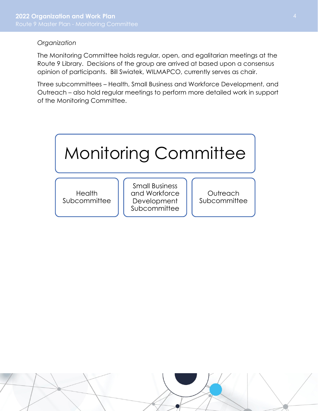# *Organization*

The Monitoring Committee holds regular, open, and egalitarian meetings at the Route 9 Library. Decisions of the group are arrived at based upon a consensus opinion of participants. Bill Swiatek, WILMAPCO, currently serves as chair.

Three subcommittees – Health, Small Business and Workforce Development, and Outreach – also hold regular meetings to perform more detailed work in support of the Monitoring Committee.

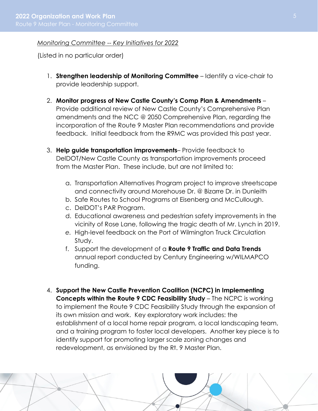# *Monitoring Committee -- Key Initiatives for 2022*

(Listed in no particular order)

- 1. **Strengthen leadership of Monitoring Committee** Identify a vice-chair to provide leadership support.
- 2. **Monitor progress of New Castle County's Comp Plan & Amendments** Provide additional review of New Castle County's Comprehensive Plan amendments and the NCC @ 2050 Comprehensive Plan, regarding the incorporation of the Route 9 Master Plan recommendations and provide feedback. Initial feedback from the R9MC was provided this past year.
- 3. **Help guide transportation improvements** Provide feedback to DelDOT/New Castle County as transportation improvements proceed from the Master Plan. These include, but are not limited to:
	- a. Transportation Alternatives Program project to improve streetscape and connectivity around Morehouse Dr. @ Bizarre Dr. in Dunleith
	- b. Safe Routes to School Programs at Eisenberg and McCullough.
	- c. DelDOT's PAR Program.
	- d. Educational awareness and pedestrian safety improvements in the vicinity of Rose Lane, following the tragic death of Mr. Lynch in 2019.
	- *e.* High-level feedback on the Port of Wilmington Truck Circulation Study.
	- f. Support the development of a **Route 9 Traffic and Data Trends** annual report conducted by Century Engineering w/WILMAPCO funding.
- 4. **Support the New Castle Prevention Coalition (NCPC) in Implementing Concepts within the Route 9 CDC Feasibility Study** – The NCPC is working to implement the Route 9 CDC Feasibility Study through the expansion of its own mission and work. Key exploratory work includes: the establishment of a local home repair program, a local landscaping team, and a training program to foster local developers. Another key piece is to identify support for promoting larger scale zoning changes and redevelopment, as envisioned by the Rt. 9 Master Plan.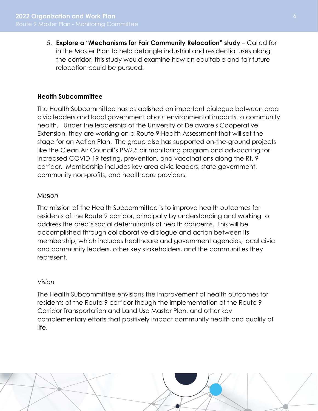5. **Explore a "Mechanisms for Fair Community Relocation" study** – Called for in the Master Plan to help detangle industrial and residential uses along the corridor, this study would examine how an equitable and fair future relocation could be pursued.

# **Health Subcommittee**

The Health Subcommittee has established an important dialogue between area civic leaders and local government about environmental impacts to community health. Under the leadership of the University of Delaware's Cooperative Extension, they are working on a Route 9 Health Assessment that will set the stage for an Action Plan. The group also has supported on-the-ground projects like the Clean Air Council's PM2.5 air monitoring program and advocating for increased COVID-19 testing, prevention, and vaccinations along the Rt. 9 corridor. Membership includes key area civic leaders, state government, community non-profits, and healthcare providers.

#### *Mission*

The mission of the Health Subcommittee is to improve health outcomes for residents of the Route 9 corridor, principally by understanding and working to address the area's social determinants of health concerns. This will be accomplished through collaborative dialogue and action between its membership, which includes healthcare and government agencies, local civic and community leaders, other key stakeholders, and the communities they represent.

#### *Vision*

The Health Subcommittee envisions the improvement of health outcomes for residents of the Route 9 corridor though the implementation of the Route 9 Corridor Transportation and Land Use Master Plan, and other key complementary efforts that positively impact community health and quality of life.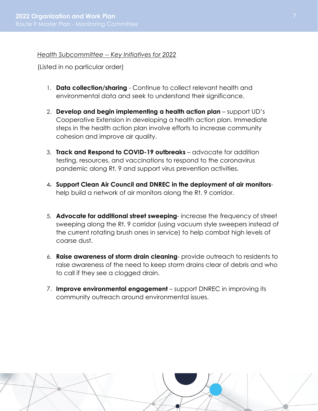*Health Subcommittee -- Key Initiatives for 2022* 

(Listed in no particular order)

- 1. **Data collection/sharing** Continue to collect relevant health and environmental data and seek to understand their significance.
- 2. **Develop and begin implementing a health action plan** support UD's Cooperative Extension in developing a health action plan. Immediate steps in the health action plan involve efforts to increase community cohesion and improve air quality.
- 3. **Track and Respond to COVID-19 outbreaks** advocate for addition testing, resources, and vaccinations to respond to the coronavirus pandemic along Rt. 9 and support virus prevention activities.
- 4. **Support Clean Air Council and DNREC in the deployment of air monitors**help build a network of air monitors along the Rt. 9 corridor.
- 5. **Advocate for additional street sweeping** increase the frequency of street sweeping along the Rt. 9 corridor (using vacuum style sweepers instead of the current rotating brush ones in service) to help combat high levels of coarse dust.
- 6. **Raise awareness of storm drain cleaning** provide outreach to residents to raise awareness of the need to keep storm drains clear of debris and who to call if they see a clogged drain.
- 7. **Improve environmental engagement** support DNREC in improving its community outreach around environmental issues.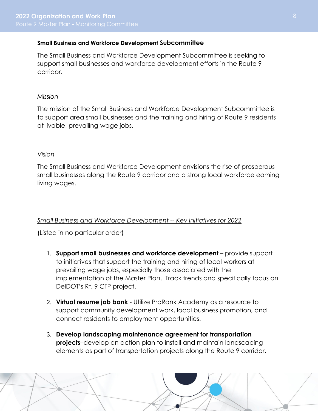# **Small Business and Workforce Development Subcommittee**

The Small Business and Workforce Development Subcommittee is seeking to support small businesses and workforce development efforts in the Route 9 corridor.

#### *Mission*

The mission of the Small Business and Workforce Development Subcommittee is to support area small businesses and the training and hiring of Route 9 residents at livable, prevailing-wage jobs.

# *Vision*

The Small Business and Workforce Development envisions the rise of prosperous small businesses along the Route 9 corridor and a strong local workforce earning living wages.

# *Small Business and Workforce Development -- Key Initiatives for 2022*

(Listed in no particular order)

- 1. **Support small businesses and workforce development** provide support to initiatives that support the training and hiring of local workers at prevailing wage jobs, especially those associated with the implementation of the Master Plan. Track trends and specifically focus on DelDOT's Rt. 9 CTP project.
- 2. **Virtual resume job bank** Utilize ProRank Academy as a resource to support community development work, local business promotion, and connect residents to employment opportunities.
- 3. **Develop landscaping maintenance agreement for transportation projects**–develop an action plan to install and maintain landscaping elements as part of transportation projects along the Route 9 corridor.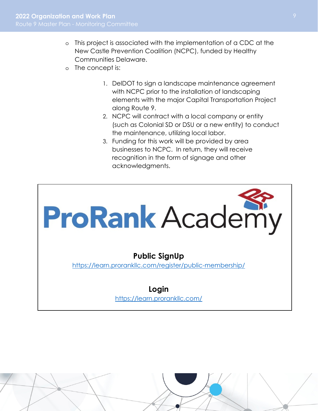- o This project is associated with the implementation of a CDC at the New Castle Prevention Coalition (NCPC), funded by Healthy Communities Delaware.
- o The concept is:
	- 1. DelDOT to sign a landscape maintenance agreement with NCPC prior to the installation of landscaping elements with the major Capital Transportation Project along Route 9.
	- 2. NCPC will contract with a local company or entity (such as Colonial SD or DSU or a new entity) to conduct the maintenance, utilizing local labor.
	- 3. Funding for this work will be provided by area businesses to NCPC. In return, they will receive recognition in the form of signage and other acknowledgments.

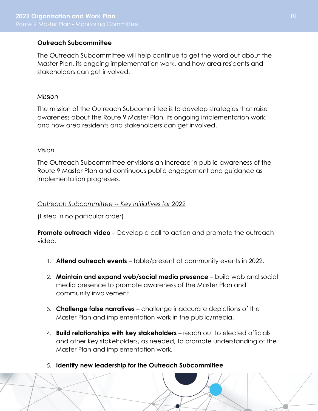# **Outreach Subcommittee**

The Outreach Subcommittee will help continue to get the word out about the Master Plan, its ongoing implementation work, and how area residents and stakeholders can get involved.

#### *Mission*

The mission of the Outreach Subcommittee is to develop strategies that raise awareness about the Route 9 Master Plan, its ongoing implementation work, and how area residents and stakeholders can get involved.

#### *Vision*

The Outreach Subcommittee envisions an increase in public awareness of the Route 9 Master Plan and continuous public engagement and guidance as implementation progresses.

#### *Outreach Subcommittee -- Key Initiatives for 2022*

(Listed in no particular order)

**Promote outreach video** – Develop a call to action and promote the outreach video.

- 1. **Attend outreach events**  table/present at community events in 2022.
- 2. **Maintain and expand web/social media presence**  build web and social media presence to promote awareness of the Master Plan and community involvement.
- 3. **Challenge false narratives**  challenge inaccurate depictions of the Master Plan and implementation work in the public/media.
- 4. **Build relationships with key stakeholders**  reach out to elected officials and other key stakeholders, as needed, to promote understanding of the Master Plan and implementation work.
- 5. **Identify new leadership for the Outreach Subcommittee**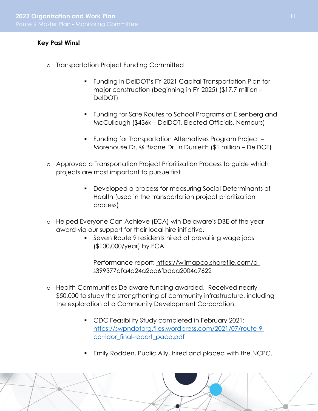# **Key Past Wins!**

- o Transportation Project Funding Committed
	- Funding in DelDOT's FY 2021 Capital Transportation Plan for major construction (beginning in FY 2025) (\$17.7 million – DelDOT)
	- Funding for Safe Routes to School Programs at Eisenberg and McCullough (\$436k – DelDOT, Elected Officials, Nemours)
	- Funding for Transportation Alternatives Program Project Morehouse Dr. @ Bizarre Dr. in Dunleith (\$1 million – DelDOT)
- o Approved a Transportation Project Prioritization Process to guide which projects are most important to pursue first
	- Developed a process for measuring Social Determinants of Health (used in the transportation project prioritization process)
- o Helped Everyone Can Achieve (ECA) win Delaware's DBE of the year award via our support for their local hire initiative.
	- Seven Route 9 residents hired at prevailing wage jobs (\$100,000/year) by ECA.

Performance report: https://wilmapco.sharefile.com/ds399377afa4d24a2ea6fbdea2004e7622

- o Health Communities Delaware funding awarded. Received nearly \$50,000 to study the strengthening of community infrastructure, including the exploration of a Community Development Corporation.
	- CDC Feasibility Study completed in February 2021: https://swpndotorg.files.wordpress.com/2021/07/route-9 corridor\_final-report\_pace.pdf
	- Emily Rodden, Public Ally, hired and placed with the NCPC.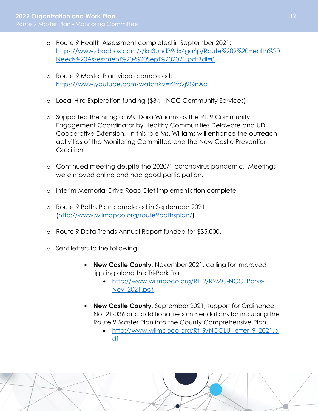- o Route 9 Health Assessment completed in September 2021: https://www.dropbox.com/s/ka3und39dx4ga6p/Route%209%20Health%20 Needs%20Assessment%20-%20Sept%202021.pdf?dl=0
- o Route 9 Master Plan video completed: https://www.youtube.com/watch?v=z2rc2j9QnAc
- o Local Hire Exploration funding (\$3k NCC Community Services)
- o Supported the hiring of Ms. Dora Williams as the Rt. 9 Community Engagement Coordinator by Healthy Communities Delaware and UD Cooperative Extension. In this role Ms. Williams will enhance the outreach activities of the Monitoring Committee and the New Castle Prevention Coalition.
- o Continued meeting despite the 2020/1 coronavirus pandemic. Meetings were moved online and had good participation.
- o Interim Memorial Drive Road Diet implementation complete
- o Route 9 Paths Plan completed in September 2021 (http://www.wilmapco.org/route9pathsplan/)
- o Route 9 Data Trends Annual Report funded for \$35,000.
- o Sent letters to the following:
	- **New Castle County**, November 2021, calling for improved lighting along the Tri-Park Trail.
		- http://www.wilmapco.org/Rt\_9/R9MC-NCC\_Parks-Nov\_2021.pdf
	- **New Castle County**, September 2021, support for Ordinance No. 21-036 and additional recommendations for including the Route 9 Master Plan into the County Comprehensive Plan.
		- http://www.wilmapco.org/Rt\_9/NCCLU\_letter\_9\_2021.p df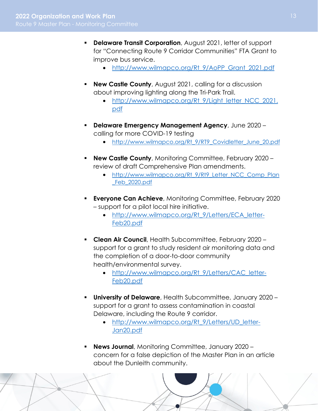- **Delaware Transit Corporation**, August 2021, letter of support for "Connecting Route 9 Corridor Communities" FTA Grant to improve bus service.
	- http://www.wilmapco.org/Rt\_9/AoPP\_Grant\_2021.pdf
- **New Castle County**, August 2021, calling for a discussion about improving lighting along the Tri-Park Trail.
	- http://www.wilmapco.org/Rt 9/Light letter NCC 2021. pdf
- **Delaware Emergency Management Agency**, June 2020 calling for more COVID-19 testing
	- http://www.wilmapco.org/Rt 9/RT9 Covidletter June 20.pdf
- **New Castle County**, Monitoring Committee, February 2020 review of draft Comprehensive Plan amendments.
	- http://www.wilmapco.org/Rt 9/Rt9 Letter NCC Comp Plan \_Feb\_2020.pdf
- **Everyone Can Achieve**, Monitoring Committee, February 2020 – support for a pilot local hire initiative.
	- http://www.wilmapco.org/Rt 9/Letters/ECA\_letter-Feb20.pdf
- **Clean Air Council**, Health Subcommittee, February 2020 support for a grant to study resident air monitoring data and the completion of a door-to-door community health/environmental survey.
	- http://www.wilmapco.org/Rt\_9/Letters/CAC\_letter-Feb20.pdf
- **University of Delaware**, Health Subcommittee, January 2020 support for a grant to assess contamination in coastal Delaware, including the Route 9 corridor.
	- http://www.wilmapco.org/Rt\_9/Letters/UD\_letter-Jan20.pdf
- **News Journal**, Monitoring Committee, January 2020 concern for a false depiction of the Master Plan in an article about the Dunleith community.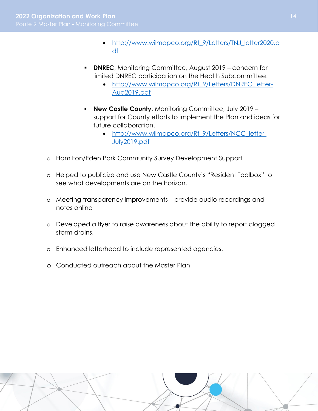- http://www.wilmapco.org/Rt 9/Letters/TNJ\_letter2020.p df
- **DNREC**, Monitoring Committee, August 2019 concern for limited DNREC participation on the Health Subcommittee.
	- http://www.wilmapco.org/Rt 9/Letters/DNREC\_letter-Aug2019.pdf
- **New Castle County, Monitoring Committee, July 2019** support for County efforts to implement the Plan and ideas for future collaboration.
	- http://www.wilmapco.org/Rt 9/Letters/NCC\_letter-July2019.pdf
- o Hamilton/Eden Park Community Survey Development Support
- o Helped to publicize and use New Castle County's "Resident Toolbox" to see what developments are on the horizon.
- o Meeting transparency improvements provide audio recordings and notes online
- o Developed a flyer to raise awareness about the ability to report clogged storm drains.
- o Enhanced letterhead to include represented agencies.
- o Conducted outreach about the Master Plan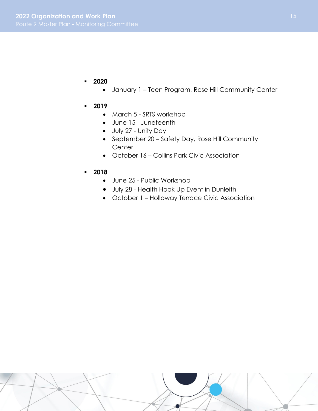- **2020**
	- January 1 Teen Program, Rose Hill Community Center
- **2019** 
	- March 5 SRTS workshop
	- June 15 Juneteenth
	- July 27 Unity Day
	- September 20 Safety Day, Rose Hill Community **Center**
	- October 16 Collins Park Civic Association
- **2018** 
	- June 25 Public Workshop
	- July 28 Health Hook Up Event in Dunleith
	- October 1 Holloway Terrace Civic Association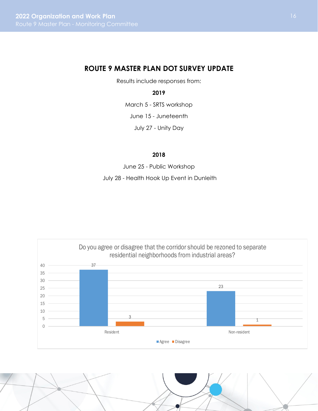# **ROUTE 9 MASTER PLAN DOT SURVEY UPDATE**

Results include responses from:

#### **2019**

March 5 - SRTS workshop

June 15 - Juneteenth

July 27 - Unity Day

#### **2018**

June 25 - Public Workshop

July 28 - Health Hook Up Event in Dunleith